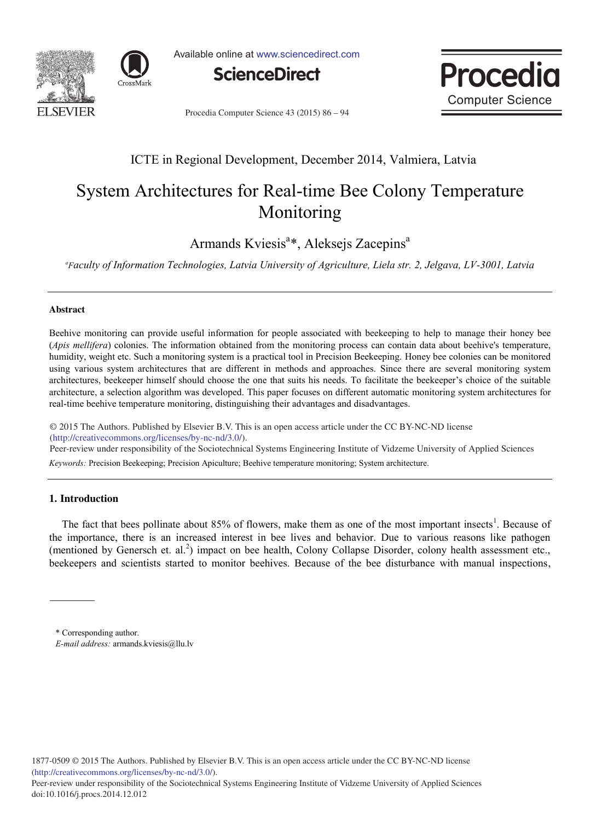



Available online at www.sciencedirect.com





Procedia Computer Science 43 (2015) 86 - 94

# ICTE in Regional Development, December 2014, Valmiera, Latvia

# System Architectures for Real-time Bee Colony Temperature Monitoring

Armands Kviesis<sup>a\*</sup>, Aleksejs Zacepins<sup>a</sup>

*a Faculty of Information Technologies, Latvia University of Agriculture, Liela str. 2, Jelgava, LV-3001, Latvia* 

#### **Abstract**

Beehive monitoring can provide useful information for people associated with beekeeping to help to manage their honey bee (*Apis mellifera*) colonies. The information obtained from the monitoring process can contain data about beehive's temperature, humidity, weight etc. Such a monitoring system is a practical tool in Precision Beekeeping. Honey bee colonies can be monitored using various system architectures that are different in methods and approaches. Since there are several monitoring system architectures, beekeeper himself should choose the one that suits his needs. To facilitate the beekeeper's choice of the suitable architecture, a selection algorithm was developed. This paper focuses on different automatic monitoring system architectures for real-time beehive temperature monitoring, distinguishing their advantages and disadvantages.

© 2015 The Authors. Published by Elsevier B.V. © 2015 The Authors. Published by Elsevier B.V. This is an open access article under the CC BY-NC-ND license Peer-review under responsibility of the Sociotechnical Systems Engineering Institute of Vidzeme University of Applied Sciences. (http://creativecommons.org/licenses/by-nc-nd/3.0/). Peer-review under responsibility of the Sociotechnical Systems Engineering Institute of Vidzeme University of Applied Sciences

*Keywords:* Precision Beekeeping; Precision Apiculture; Beehive temperature monitoring; System architecture.

## **1. Introduction**

The fact that bees pollinate about 85% of flowers, make them as one of the most important insects<sup>1</sup>. Because of the importance, there is an increased interest in bee lives and behavior. Due to various reasons like pathogen (mentioned by Genersch et. al.<sup>2</sup>) impact on bee health, Colony Collapse Disorder, colony health assessment etc., beekeepers and scientists started to monitor beehives. Because of the bee disturbance with manual inspections,

<sup>\*</sup> Corresponding author. *E-mail address:* armands.kviesis@llu.lv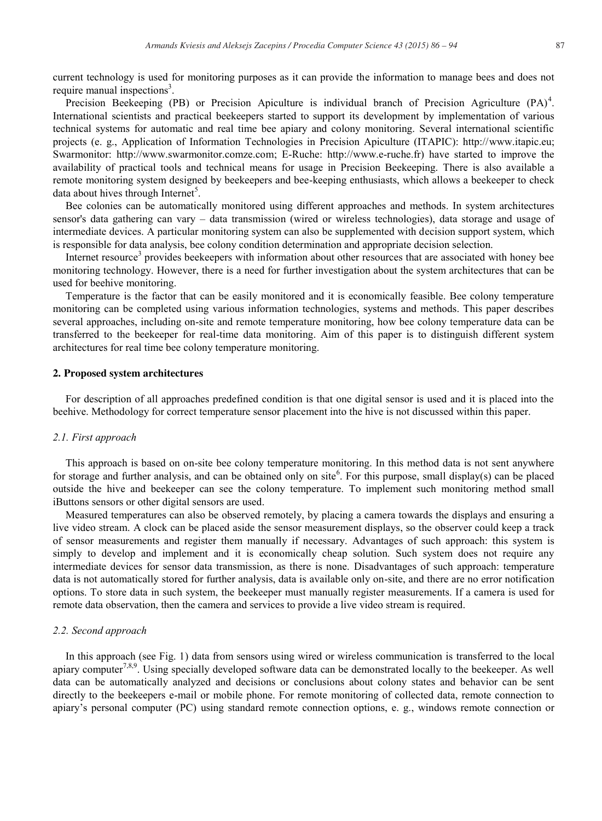current technology is used for monitoring purposes as it can provide the information to manage bees and does not require manual inspections<sup>3</sup>.

Precision Beekeeping (PB) or Precision Apiculture is individual branch of Precision Agriculture (PA)<sup>4</sup>. International scientists and practical beekeepers started to support its development by implementation of various technical systems for automatic and real time bee apiary and colony monitoring. Several international scientific projects (e. g., Application of Information Technologies in Precision Apiculture (ITAPIC): http://www.itapic.eu; Swarmonitor: http://www.swarmonitor.comze.com; E-Ruche: http://www.e-ruche.fr) have started to improve the availability of practical tools and technical means for usage in Precision Beekeeping. There is also available a remote monitoring system designed by beekeepers and bee-keeping enthusiasts, which allows a beekeeper to check data about hives through Internet<sup>5</sup>.

Bee colonies can be automatically monitored using different approaches and methods. In system architectures sensor's data gathering can vary – data transmission (wired or wireless technologies), data storage and usage of intermediate devices. A particular monitoring system can also be supplemented with decision support system, which is responsible for data analysis, bee colony condition determination and appropriate decision selection.

Internet resource<sup>3</sup> provides beekeepers with information about other resources that are associated with honey bee monitoring technology. However, there is a need for further investigation about the system architectures that can be used for beehive monitoring.

Temperature is the factor that can be easily monitored and it is economically feasible. Bee colony temperature monitoring can be completed using various information technologies, systems and methods. This paper describes several approaches, including on-site and remote temperature monitoring, how bee colony temperature data can be transferred to the beekeeper for real-time data monitoring. Aim of this paper is to distinguish different system architectures for real time bee colony temperature monitoring.

# **2. Proposed system architectures**

For description of all approaches predefined condition is that one digital sensor is used and it is placed into the beehive. Methodology for correct temperature sensor placement into the hive is not discussed within this paper.

#### *2.1. First approach*

This approach is based on on-site bee colony temperature monitoring. In this method data is not sent anywhere for storage and further analysis, and can be obtained only on site<sup>6</sup>. For this purpose, small display(s) can be placed outside the hive and beekeeper can see the colony temperature. To implement such monitoring method small iButtons sensors or other digital sensors are used.

Measured temperatures can also be observed remotely, by placing a camera towards the displays and ensuring a live video stream. A clock can be placed aside the sensor measurement displays, so the observer could keep a track of sensor measurements and register them manually if necessary. Advantages of such approach: this system is simply to develop and implement and it is economically cheap solution. Such system does not require any intermediate devices for sensor data transmission, as there is none. Disadvantages of such approach: temperature data is not automatically stored for further analysis, data is available only on-site, and there are no error notification options. To store data in such system, the beekeeper must manually register measurements. If a camera is used for remote data observation, then the camera and services to provide a live video stream is required.

#### *2.2. Second approach*

In this approach (see Fig. 1) data from sensors using wired or wireless communication is transferred to the local apiary computer<sup>7,8,9</sup>. Using specially developed software data can be demonstrated locally to the beekeeper. As well data can be automatically analyzed and decisions or conclusions about colony states and behavior can be sent directly to the beekeepers e-mail or mobile phone. For remote monitoring of collected data, remote connection to apiary's personal computer (PC) using standard remote connection options, e. g., windows remote connection or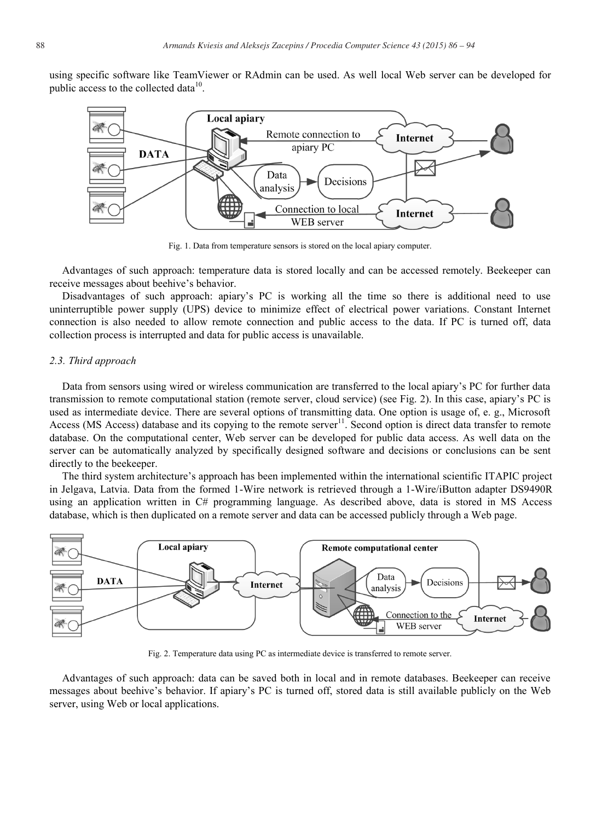using specific software like TeamViewer or RAdmin can be used. As well local Web server can be developed for public access to the collected data $10$ .



Fig. 1. Data from temperature sensors is stored on the local apiary computer.

Advantages of such approach: temperature data is stored locally and can be accessed remotely. Beekeeper can receive messages about beehive's behavior.

Disadvantages of such approach: apiary's PC is working all the time so there is additional need to use uninterruptible power supply (UPS) device to minimize effect of electrical power variations. Constant Internet connection is also needed to allow remote connection and public access to the data. If PC is turned off, data collection process is interrupted and data for public access is unavailable.

#### *2.3. Third approach*

Data from sensors using wired or wireless communication are transferred to the local apiary's PC for further data transmission to remote computational station (remote server, cloud service) (see Fig. 2). In this case, apiary's PC is used as intermediate device. There are several options of transmitting data. One option is usage of, e. g., Microsoft Access (MS Access) database and its copying to the remote server<sup>11</sup>. Second option is direct data transfer to remote database. On the computational center, Web server can be developed for public data access. As well data on the server can be automatically analyzed by specifically designed software and decisions or conclusions can be sent directly to the beekeeper.

The third system architecture's approach has been implemented within the international scientific ITAPIC project in Jelgava, Latvia. Data from the formed 1-Wire network is retrieved through a 1-Wire/iButton adapter DS9490R using an application written in C# programming language. As described above, data is stored in MS Access database, which is then duplicated on a remote server and data can be accessed publicly through a Web page.



Fig. 2. Temperature data using PC as intermediate device is transferred to remote server.

Advantages of such approach: data can be saved both in local and in remote databases. Beekeeper can receive messages about beehive's behavior. If apiary's PC is turned off, stored data is still available publicly on the Web server, using Web or local applications.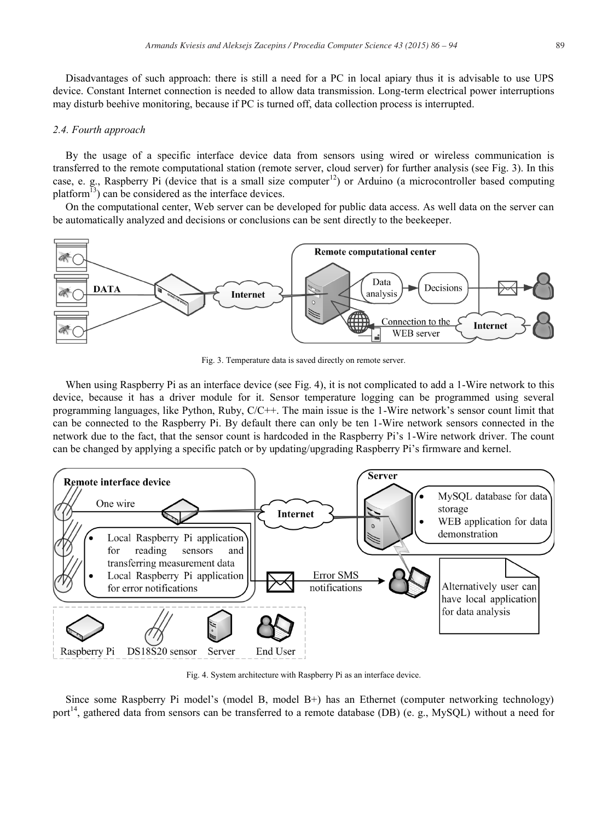Disadvantages of such approach: there is still a need for a PC in local apiary thus it is advisable to use UPS device. Constant Internet connection is needed to allow data transmission. Long-term electrical power interruptions may disturb beehive monitoring, because if PC is turned off, data collection process is interrupted.

#### *2.4. Fourth approach*

By the usage of a specific interface device data from sensors using wired or wireless communication is transferred to the remote computational station (remote server, cloud server) for further analysis (see Fig. 3). In this case, e. g., Raspberry Pi (device that is a small size computer<sup>12</sup>) or Arduino (a microcontroller based computing platform<sup> $\bar{1}$ 3) can be considered as the interface devices.</sup>

On the computational center, Web server can be developed for public data access. As well data on the server can be automatically analyzed and decisions or conclusions can be sent directly to the beekeeper.



Fig. 3. Temperature data is saved directly on remote server.

When using Raspberry Pi as an interface device (see Fig. 4), it is not complicated to add a 1-Wire network to this device, because it has a driver module for it. Sensor temperature logging can be programmed using several programming languages, like Python, Ruby, C/C++. The main issue is the 1-Wire network's sensor count limit that can be connected to the Raspberry Pi. By default there can only be ten 1-Wire network sensors connected in the network due to the fact, that the sensor count is hardcoded in the Raspberry Pi's 1-Wire network driver. The count can be changed by applying a specific patch or by updating/upgrading Raspberry Pi's firmware and kernel.



Fig. 4. System architecture with Raspberry Pi as an interface device.

Since some Raspberry Pi model's (model B, model B+) has an Ethernet (computer networking technology) port<sup>14</sup>, gathered data from sensors can be transferred to a remote database (DB) (e. g., MySQL) without a need for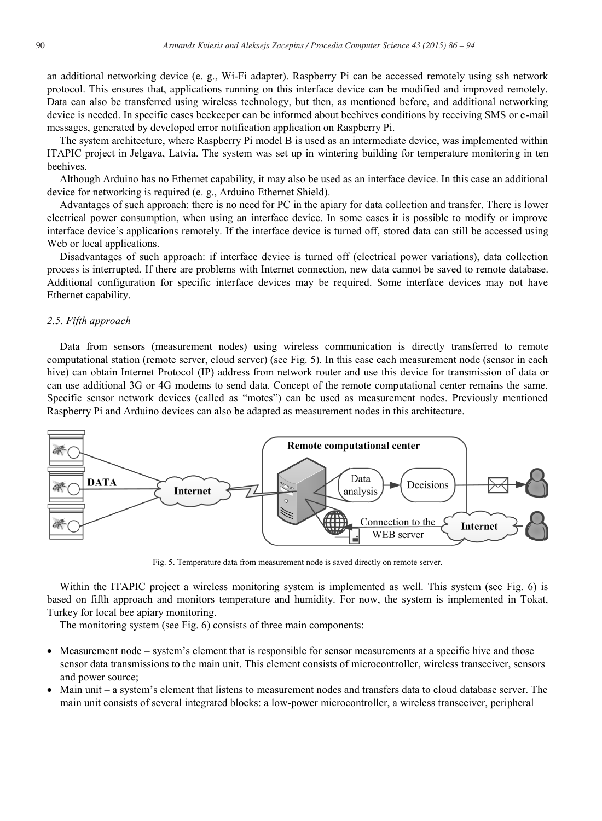an additional networking device (e. g., Wi-Fi adapter). Raspberry Pi can be accessed remotely using ssh network protocol. This ensures that, applications running on this interface device can be modified and improved remotely. Data can also be transferred using wireless technology, but then, as mentioned before, and additional networking device is needed. In specific cases beekeeper can be informed about beehives conditions by receiving SMS or e-mail messages, generated by developed error notification application on Raspberry Pi.

The system architecture, where Raspberry Pi model B is used as an intermediate device, was implemented within ITAPIC project in Jelgava, Latvia. The system was set up in wintering building for temperature monitoring in ten beehives.

Although Arduino has no Ethernet capability, it may also be used as an interface device. In this case an additional device for networking is required (e. g., Arduino Ethernet Shield).

Advantages of such approach: there is no need for PC in the apiary for data collection and transfer. There is lower electrical power consumption, when using an interface device. In some cases it is possible to modify or improve interface device's applications remotely. If the interface device is turned off, stored data can still be accessed using Web or local applications.

Disadvantages of such approach: if interface device is turned off (electrical power variations), data collection process is interrupted. If there are problems with Internet connection, new data cannot be saved to remote database. Additional configuration for specific interface devices may be required. Some interface devices may not have Ethernet capability.

#### *2.5. Fifth approach*

Data from sensors (measurement nodes) using wireless communication is directly transferred to remote computational station (remote server, cloud server) (see Fig. 5). In this case each measurement node (sensor in each hive) can obtain Internet Protocol (IP) address from network router and use this device for transmission of data or can use additional 3G or 4G modems to send data. Concept of the remote computational center remains the same. Specific sensor network devices (called as "motes") can be used as measurement nodes. Previously mentioned Raspberry Pi and Arduino devices can also be adapted as measurement nodes in this architecture.



Fig. 5. Temperature data from measurement node is saved directly on remote server.

Within the ITAPIC project a wireless monitoring system is implemented as well. This system (see Fig. 6) is based on fifth approach and monitors temperature and humidity. For now, the system is implemented in Tokat, Turkey for local bee apiary monitoring.

The monitoring system (see Fig. 6) consists of three main components:

- Measurement node system's element that is responsible for sensor measurements at a specific hive and those sensor data transmissions to the main unit. This element consists of microcontroller, wireless transceiver, sensors and power source;
- x Main unit a system's element that listens to measurement nodes and transfers data to cloud database server. The main unit consists of several integrated blocks: a low-power microcontroller, a wireless transceiver, peripheral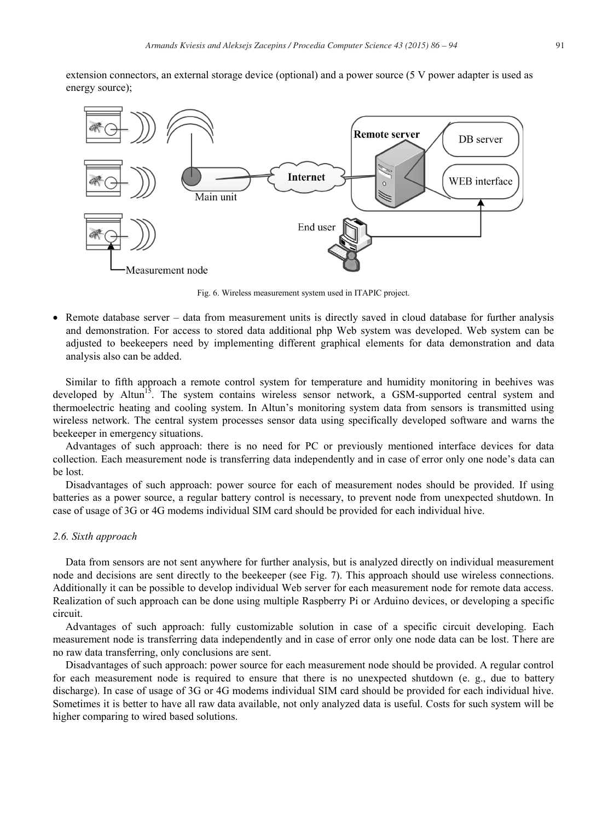extension connectors, an external storage device (optional) and a power source (5 V power adapter is used as energy source);



Fig. 6. Wireless measurement system used in ITAPIC project.

Remote database server – data from measurement units is directly saved in cloud database for further analysis and demonstration. For access to stored data additional php Web system was developed. Web system can be adjusted to beekeepers need by implementing different graphical elements for data demonstration and data analysis also can be added.

Similar to fifth approach a remote control system for temperature and humidity monitoring in beehives was developed by Altun<sup>15</sup>. The system contains wireless sensor network, a GSM-supported central system and thermoelectric heating and cooling system. In Altun's monitoring system data from sensors is transmitted using wireless network. The central system processes sensor data using specifically developed software and warns the beekeeper in emergency situations.

Advantages of such approach: there is no need for PC or previously mentioned interface devices for data collection. Each measurement node is transferring data independently and in case of error only one node's data can be lost.

Disadvantages of such approach: power source for each of measurement nodes should be provided. If using batteries as a power source, a regular battery control is necessary, to prevent node from unexpected shutdown. In case of usage of 3G or 4G modems individual SIM card should be provided for each individual hive.

# *2.6. Sixth approach*

Data from sensors are not sent anywhere for further analysis, but is analyzed directly on individual measurement node and decisions are sent directly to the beekeeper (see Fig. 7). This approach should use wireless connections. Additionally it can be possible to develop individual Web server for each measurement node for remote data access. Realization of such approach can be done using multiple Raspberry Pi or Arduino devices, or developing a specific circuit.

Advantages of such approach: fully customizable solution in case of a specific circuit developing. Each measurement node is transferring data independently and in case of error only one node data can be lost. There are no raw data transferring, only conclusions are sent.

Disadvantages of such approach: power source for each measurement node should be provided. A regular control for each measurement node is required to ensure that there is no unexpected shutdown (e. g., due to battery discharge). In case of usage of 3G or 4G modems individual SIM card should be provided for each individual hive. Sometimes it is better to have all raw data available, not only analyzed data is useful. Costs for such system will be higher comparing to wired based solutions.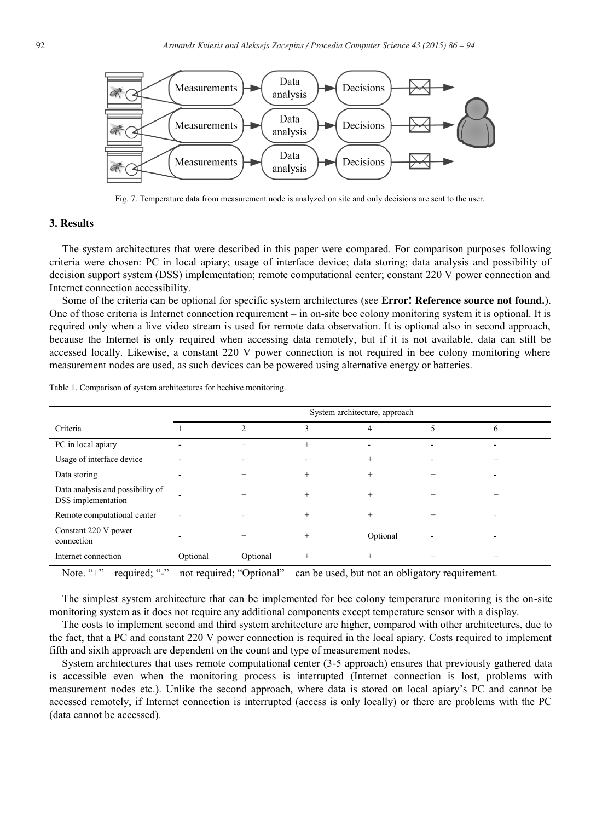

Fig. 7. Temperature data from measurement node is analyzed on site and only decisions are sent to the user.

## **3. Results**

The system architectures that were described in this paper were compared. For comparison purposes following criteria were chosen: PC in local apiary; usage of interface device; data storing; data analysis and possibility of decision support system (DSS) implementation; remote computational center; constant 220 V power connection and Internet connection accessibility.

Some of the criteria can be optional for specific system architectures (see **Error! Reference source not found.**). One of those criteria is Internet connection requirement – in on-site bee colony monitoring system it is optional. It is required only when a live video stream is used for remote data observation. It is optional also in second approach, because the Internet is only required when accessing data remotely, but if it is not available, data can still be accessed locally. Likewise, a constant 220 V power connection is not required in bee colony monitoring where measurement nodes are used, as such devices can be powered using alternative energy or batteries.

|  | Table 1. Comparison of system architectures for beehive monitoring. |  |  |
|--|---------------------------------------------------------------------|--|--|
|  |                                                                     |  |  |

|                                                        | System architecture, approach |                |        |                |                |        |  |  |
|--------------------------------------------------------|-------------------------------|----------------|--------|----------------|----------------|--------|--|--|
| Criteria                                               |                               | $\mathfrak{D}$ |        | 4              |                | 6      |  |  |
| PC in local apiary                                     |                               | $^{+}$         | $^{+}$ |                |                |        |  |  |
| Usage of interface device                              |                               |                |        |                |                | $\pm$  |  |  |
| Data storing                                           |                               | $^{+}$         | $^+$   |                |                |        |  |  |
| Data analysis and possibility of<br>DSS implementation |                               | $^{+}$         | $^{+}$ | $^{+}$         | $\div$         | $^{+}$ |  |  |
| Remote computational center                            |                               |                | $^+$   | $\overline{+}$ | $\overline{+}$ |        |  |  |
| Constant 220 V power<br>connection                     |                               | $^{+}$         | $^{+}$ | Optional       |                |        |  |  |
| Internet connection                                    | Optional                      | Optional       | $^{+}$ | $^{+}$         | $\div$         | $^{+}$ |  |  |

Note. "+" – required; "-" – not required; "Optional" – can be used, but not an obligatory requirement.

The simplest system architecture that can be implemented for bee colony temperature monitoring is the on-site monitoring system as it does not require any additional components except temperature sensor with a display.

The costs to implement second and third system architecture are higher, compared with other architectures, due to the fact, that a PC and constant 220 V power connection is required in the local apiary. Costs required to implement fifth and sixth approach are dependent on the count and type of measurement nodes.

System architectures that uses remote computational center (3-5 approach) ensures that previously gathered data is accessible even when the monitoring process is interrupted (Internet connection is lost, problems with measurement nodes etc.). Unlike the second approach, where data is stored on local apiary's PC and cannot be accessed remotely, if Internet connection is interrupted (access is only locally) or there are problems with the PC (data cannot be accessed).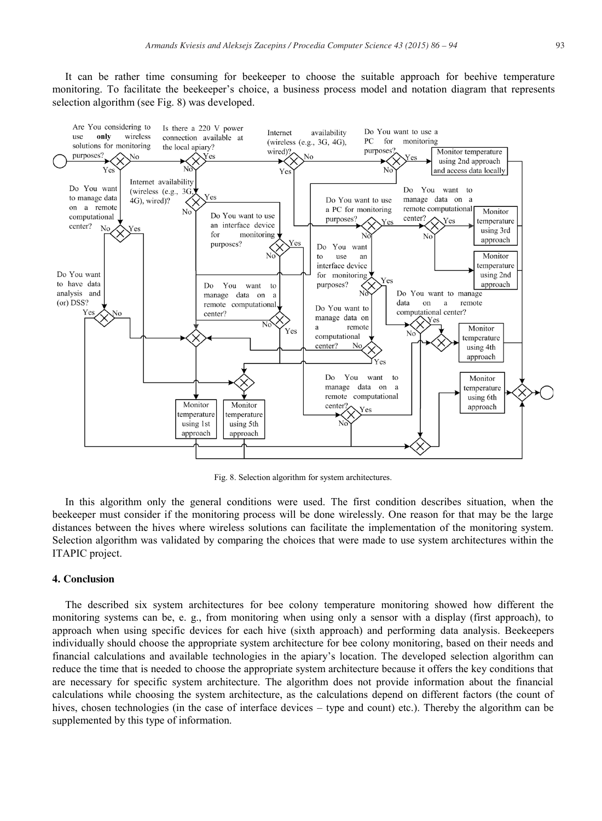It can be rather time consuming for beekeeper to choose the suitable approach for beehive temperature monitoring. To facilitate the beekeeper's choice, a business process model and notation diagram that represents selection algorithm (see Fig. 8) was developed.



Fig. 8. Selection algorithm for system architectures.

In this algorithm only the general conditions were used. The first condition describes situation, when the beekeeper must consider if the monitoring process will be done wirelessly. One reason for that may be the large distances between the hives where wireless solutions can facilitate the implementation of the monitoring system. Selection algorithm was validated by comparing the choices that were made to use system architectures within the ITAPIC project.

# **4. Conclusion**

The described six system architectures for bee colony temperature monitoring showed how different the monitoring systems can be, e. g., from monitoring when using only a sensor with a display (first approach), to approach when using specific devices for each hive (sixth approach) and performing data analysis. Beekeepers individually should choose the appropriate system architecture for bee colony monitoring, based on their needs and financial calculations and available technologies in the apiary's location. The developed selection algorithm can reduce the time that is needed to choose the appropriate system architecture because it offers the key conditions that are necessary for specific system architecture. The algorithm does not provide information about the financial calculations while choosing the system architecture, as the calculations depend on different factors (the count of hives, chosen technologies (in the case of interface devices – type and count) etc.). Thereby the algorithm can be supplemented by this type of information.